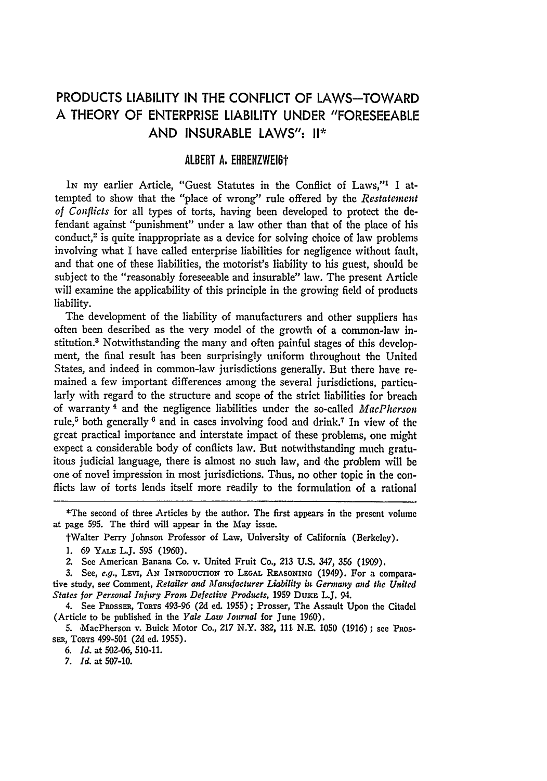## **PRODUCTS** LIABILITY **IN** THE **CONFLICT** OF LAWS-TOWARD **A** THEORY OF ENTERPRISE LIABILITY **UNDER** "FORESEEABLE **AND INSURABLE** LAWS": **I1\***

## ALBERT **A.** EHRENZWEIGt

IN my earlier Article, "Guest Statutes in the Conflict of Laws,"' I attempted to show that the "place of wrong" rule offered by the *Restatement of Conflicts* for all types of torts, having been developed to protect the defendant against "punishment" under a law other than that of the place of his conduct, $2$  is quite inappropriate as a device for solving choice of law problems involving what I have called enterprise liabilities for negligence without fault, and that one of these liabilities, the motorist's liability to his guest, should be subject to the "reasonably foreseeable and insurable" law. The present Article will examine the applicability of this principle in the growing field of products liability.

The development of the liability of manufacturers and other suppliers has often been described as the very model of the growth of a common-law institution.3 Notwithstanding the many and often painful stages of this development, the final result has been surprisingly uniform throughout the United States, and indeed in common-law jurisdictions generally. But there have remained a few important differences among the several jurisdictions, particularly with regard to the structure and scope of the strict liabilities for breach of warranty **4** and the negligence liabilities under the so-called *MacPherson* rule,5 both generally **6** and in cases involving food and drink.7 In view of the great practical importance and interstate impact of these problems, one might expect a considerable body of conflicts law. But notwithstanding much gratuitous judicial language, there is almost no such law, and the problem will be one of novel impression in most jurisdictions. Thus, no other topic in the conflicts law of torts lends itself more readily to the formulation **of** a rational

<sup>\*</sup>The second of three Articles by the author. The first appears in the present volume at page 595. The third will appear in the May issue.

tWalter Perry Johnson Professor of Law, University of California (Berkeley).

<sup>1. 69</sup> **YALE** L.J. 595 (1960).

<sup>2.</sup> See American Banana Co. v. United Fruit Co., 213 U.S. 347, 356 (1909).

<sup>3.</sup> See, e.g., LEVI, AN INTRODUCTION TO LEGAL REASONING (1949). For a comparative study, see Comment, *Retailer and Manufacturer Liability it Germany and* the *United* States for Personal Injury From Defective Products, 1959 DUKE L.J. 94.

<sup>4.</sup> See PRossER, **ToRTs 493-96 (2d** ed. **1955) ;** Prosser, The Assault Upon the Citadel (Article to be published in the *Yale Law Journal* for June **1960).**

**<sup>5.</sup>** MacPherson v. Buick Motor Co., **217** N.Y. **382, 111. N.E. 1050 (1916)** ; see PRos-SER, **TORTS** 499-501 **(2d** ed. **1955).**

**<sup>6.</sup>** *Id.* at 502-06, 510-11.

**<sup>7.</sup>** *Id.* at **507-10.**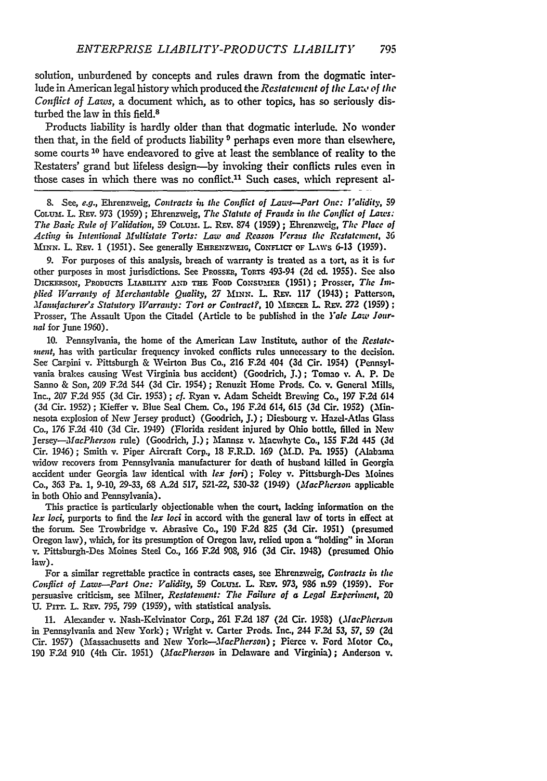solution, unburdened by concepts and rules drawn from the dogmatic interlude in American legal history which produced the *Rcstatemcnt of the Law of the Conflict of Laws,* a document which, as to other topics, has so seriously disturbed the law in this field.<sup>8</sup>

Products liability is hardly older than that dogmatic interlude. No wonder then that, in the field of products liability **0** perhaps even more than elsewhere, some courts<sup>10</sup> have endeavored to give at least the semblance of reality to the Restaters' grand but lifeless design-by invoking their conflicts rules even in those cases in which there was no conflict.<sup>11</sup> Such cases, which represent al-

*8.* See, *e.g.,* Ehrenzweig, *Contracts in the Conflict of Laws-Part One: Validity,* 59 CoLum. L. REv. 973 (1959); Ehrenzweig, *The Statute of Frauds in the Conflict of Laws: The Basic Rule of Validation, 59 CoLUM. L. REV. 874 (1959); Ehrenzweig, The Place of Acting in Intentional Multistate Torts: Law and Reason Versus the Restatement, 36* MINN. L. REv. **1** (1951). See generally **EHRE-VzwEIG, CoNxFicr OF L.aws 6-13 (1959).**

**9.** For purposes of this analysis, breach of warranty is treated as a tort, as it is fur other purposes in most jurisdictions. See PROSSER, TORTS 493-94 (2d ed. 1955). See also DICKERSON, PRODUCTS LIABILITY AND THE FOOD CONSUMER (1951); Prosser, The Im*plied Warranty of Merchantable Quality, 27 MINN. L. REV. 117 (1943); Patterson, Manufacturer's Statutory Warranty: Tort or Contract?, 10 MERCER L. REV. 272 (1959)*; Prosser, The Assault Upon the Citadel (Article to be published in the *Yale Law Journal* for June 1960).

**10.** Pennsylvania, the home of the American Law Institute, author of the *Restatement,* has with particular frequency invoked conflicts rules unnecessary to the decision. See Carpini v. Pittsburgh & Weirton Bus Co., **216 F.2d** 404 (3d Cir. 1954) (Pennsylvania brakes causing West Virginia bus accident) (Goodrich, J.) ; Tomao **v. A.** P. **De** Sanno & Son, **209 F2d** 544 (3d Cir. 1954); Renuzit Home Prods. Co. v. General Mills, Inc., *207* F.2d 955 **(3d** Cir. 1953); *cf.* Ryan v. Adam Scheidt Brewing Co., 197 F2d 614 **(3d** Cir. 1952); Kieffer v. Blue Seal Chem. Co., 196 F.2d 614, **615** (3d Cir. **1952)** (Minnesota explosion of New Jersey product) (Goodrich, **J.)** ; Diesbourg v. Hazel-Atlas Glass Co., **176** F.2d 410 **(3d** Cir. 1949) (Florida resident injured by Ohio bottle, filled in New *Jersey--MacPherson* rule) (Goodrich, **J.);** Mannsz v. Macwhyte Co., **155 F.2d** 445 **(3d** Cir. 1946); Smith v. Piper Aircraft Corp., 18 F.R.D. 169 **(M.D.** Pa. 1955) (Alabama widow recovers from Pennsylvania manufacturer for death of husband killed in Georgia accident under Georgia law identical with *lex fori);* Foley v. Pittsburgh-Des Moines Co., **363** Pa. 1, 9-10, **29-33, 68 A.2d 517, 521-22, 530-32** (1949) *(MacPherson* applicable in both Ohio and Pennsylvania).

This practice is particularly objectionable when the court, lacking information on the *lex loci,* purports to find the *lex loci* in accord with the general law of torts in effect at the forum. See Trowbridge v. Abrasive Co., 190 F.2d **825** (3d Cir. 1951) (presumed Oregon law), which, for its presumption of Oregon law, relied upon a "holding" in Moran v. Pittsburgh-Des Moines Steel Co., 166 F.2d 903, 916 (3d Cir. 1948) (presumed Ohio law).

For a similar regrettable practice in contracts cases, see Ehrenzweig, *Contracts in the Conflict of Laws-Part One: Validity,* 59 CoLum. L. REv. **973, 936** n.99 **(1959).** For persuasive criticism, see Milner, *Restatement: The Failure of a Legal Experiment, 20* U. PITT. L. REV. 795, 799 (1959), with statistical analysis.

**11.** Alexander v. Nash-Kelvinator Corp., **261 F.2d 187 (2d** Cir. **1958)** *(.MlacPhersdm* in Pennsylvania and New York) **;** Wright v. Carter Prods. Inc., 244 F.2d **53, 57, 59 (2d** Cir. **1957)** (Massachusetts and New *York--MacPherson);* Pierce v. Ford M1otor Co., **190 F.2d 910** (4th Cir. 1951) *(MacPherson* in Delaware and Virginia); Anderson v.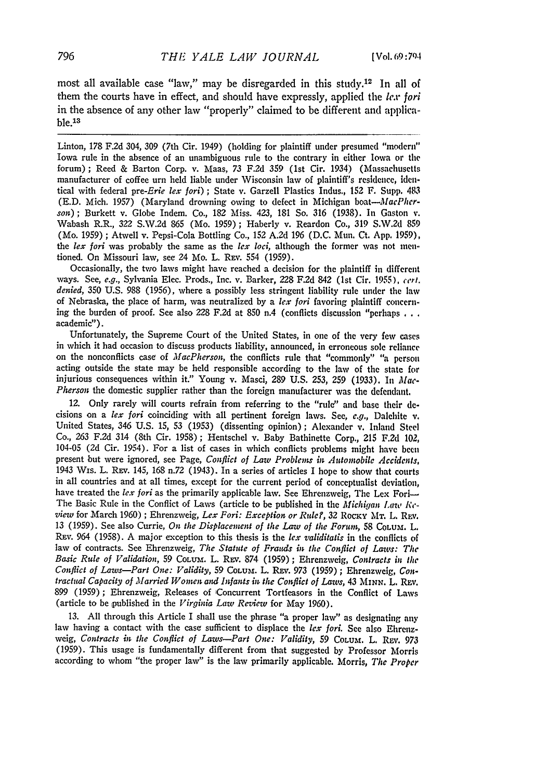most all available case "law," may be disregarded in this study.<sup>12</sup> In all of them the courts have in effect, and should have expressly, applied the *lex* fori in the absence of any other law "properly" claimed to be different and applicable.<sup>13</sup>

Linton, 178 F.2d 304, 309 (7th Cir. 1949) (holding for plaintiff under presumed "modern" Iowa rule in the absence of an unambiguous rule to the contrary in either Iowa or the forum) **;** Reed & Barton Corp. v. Maas, 73 F.2d 359 (1st Cir. 1934) (Massachusetts manufacturer of coffee urn held liable under Wisconsin law of plaintiff's residence, identical with federal pre-Erie *lex fori)* **;** State v. Garzell Plastics Indus., **152** F. Supp. 483 (E.D. Mich. 1957) (Maryland drowning owing to defect in Michigan *boat-AMacPherson);* Burkett v. Globe Indem. Co., **182** Miss. 423, 181 So. 316 (1938). In Gaston v. Wabash R.R., 322 S.W.2d **865** (Mo. 1959); Haberly v. Reardon Co., 319 S.W.2d 859 (Mo. 1959); Atwell v. Pepsi-Cola Bottling Co., **152** A.2d 196 (D.C. Mun. Ct. App. 1959), the lex fori was probably the same as the lex *loci,* although the former was not mentioned. On Missouri law, see 24 Mo. L. **REV.** 554 (1959).

Occasionally, the two laws might have reached a decision for the plaintiff in different ways. See, *e.g.,* Sylvania Elec. Prods., Inc. v. Barker, 228 F.2d 842 (1st Cir. 1955). *cert. denied,* 350 U.S. 988 (1956), where a possibly less stringent liability rule under the law of Nebraska, the place of harm, was neutralized **by** a lex fori favoring plaintiff concerning the burden of proof. See also 228 F.2d at **850** n.4 (conflicts discussion "perhaps **...** academic").

Unfortunately, the Supreme Court of the United States, in one of the very few cases in which it had occasion to discuss products liability, announced, in erroneous sole reliance on the nonconflicts case of *MacPherson,* the conflicts rule that "commonly" "a person acting outside the state may be **held** responsible according to the law of the state for injurious consequences within it." Young v. Masci, **289 U.S. 253, 259** (1933). In *Mac-Pherson* the domestic supplier rather than the foreign manufacturer was the defendant.

12. Only rarely will courts refrain from referring to the "rule' and base their **de**cisions **on** a **lex** *fori* coinciding with all pertinent foreign laws. **See,** *e.g.,* Dalehite v. United States, 346 **U.S. 15, 53 (1953)** (dissenting opinion) ; Alexander v. Inland Steel Co., *263* **F.2d** 314 (8th Cir. **1958);** Hentschel v. Baby Bathinette Corp., 215 **F.2d** 102, 104-05 **(2d** Cir. 1954). For a list of cases in which conflicts problems might have been present but were ignored, see Page, *Conflict of Law Problems in Automobile Accidents,* 1943 Wis. L. **REv.** 145, 168 n.72 (1943). In a series of articles I hope to show that courts in all countries and at all times, except for the current period of conceptualist deviation, have treated the lex fori as the primarily applicable law. See Ehrenzweig, The Lex Fori-The Basic Rule in the Conflict of Laws (article to be published in the *Michigan Law* Ree*view* for March 1960) **;** Ehrenzweig, *Lex* Fori: *Exception or Rule?,* **32** RocKy **MT.** L. Rv. **<sup>13</sup>**(1959). See also Currie, *On the Displacement of the Law of the Forun,* **58 COLUm.** L, **REv.** 964 (1958). A major exception to this thesis is the *fez validitatlis* in the conflicts **of** law of contracts. See Ehrenzweig, *The Statute of Frauds in the Conflict of Laws: The Basic Rule of Validation,* **59 COLu.** L. RW. 874 (1959) **;** Ehrenzweig, *Contracts in the Conflict of Laws-Part One: Validity,* 59 CoLum. L. Ray. **973** (1959) **;** Ehrenzweig, *Contractual Capacity of Married Women and Infants in the Conflict of Laws,* 43 **MINN.** L. REV. 899 (1959); Ehrenzweig, Releases of Concurrent Tortfeasors in the Conflict of Laws (article to be published in the *Virginia Law Review* for May 1960).

13. All through this Article I shall use the phrase "a proper law" as designating **any** law having a contact with the case sufficient to displace the lex *fori.* **See** also Ehrenzweig, *Contracts in the Conflict of Laws-Part One: Validity,* **59** COLUM. L. RLv. *973* (1959). This usage is fundamentally different from that suggested by Professor Morris according to whom "the proper law" is the law primarily applicable. Morris, *The Proper*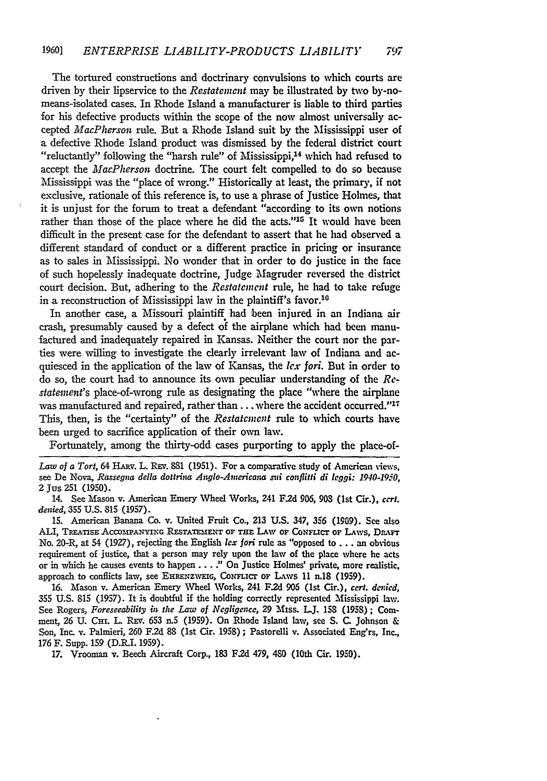The tortured constructions and doctrinary convulsions to which courts are driven by their lipservice to the *Restatement* may be illustrated by two by-nomeans-isolated cases. In Rhode Island a manufacturer is liable to third parties for his defective products within the scope of the now almost universally accepted *MacPherson* rule. But a Rhode Island suit by the Mississippi user of a defective Rhode Island product was dismissed by the federal district court "reluctantly" following the "harsh rule" **of** ississippi,24 which had refused to accept the *MacPherson* doctrine. The court felt compelled to do so because Mississippi was the "place of wrong." Historically at least, the primary, if not exclusive, rationale of this reference is, to use a phrase of Justice Holmes, that it is unjust for the forum to treat a defendant "according to its own notions rather than those of the place where he did the acts."<sup>15</sup> It would have been difficult in the present case for the defendant to assert that he had observed a different standard of conduct or a different practice in pricing or insurance as to sales in Mississippi. No wonder that in order to do justice in the face of such hopelessly inadequate doctrine, judge Magruder reversed the district court decision. But, adhering to the *Restatement* rule, he had to take refuge in a reconstruction of Mississippi law in the plaintiff's favor.<sup>16</sup>

In another case, a Missouri plaintiff had been injured in an Indiana air crash, presumably caused **by** a defect of the airplane which had been manufactured and inadequately repaired in Kansas. Neither the court nor the parties were willing to investigate the clearly irrelevant law of Indiana and acquiesced in the application of the law of Kansas, the *lex fori.* But in order to do so, the court had to announce its own peculiar understanding of the *Restatement's* place-of-wrong rule as designating the place "where the airplane was manufactured and repaired, rather than . . . where the accident occurred."<sup>17</sup> This, then, is the "certainty" of the *Restatcnicnt* rule to which courts have been urged to sacrifice application of their own law.

Fortunately, among the thirty-odd cases purporting to apply the place-of-

Law of a Tort, 64 HARV. L. REV. 881 (1951). For a comparative study of American views, see De Nova, *Rassegna della dottrina Anglo-Americana sii conflitti di leggi: 1940-1950,* 2 Jus **251** (1950).

14. See Mason v. American Emery Wheel Works, 241 F2d **906, 903** (1st Cir.), *ceri. denied,* **355 U.S. 815 (1957).**

**15.** American Banana Co. v. United Fruit Co., **213 U.S.** 347, **356 (1909). See** also ALI, TREATISE ACCOMPANYING RESTATEMENT OF THE LAW OF CONFLICT OF LAWS, DRAFT No. 20-R, at 54 **(1927),** rejecting the English *lex fori* rule as "opposed **to...** an obvious requirement of justice, that a person may rely upon the law of the place where he acts or in which he causes events to happen... **!'** On Justice Holmes' private, more realistic, approach to conflicts law, see EHRENZWEIG, CONFLICT OF LAWS 11 n.18 (1959).

**16.** Mlason v. American Emery Wheel Works, 241 F.2d **906** (1st Cir.), *cert. denicd,* **355 U.S. 815 (1957).** It is doubtful if the holding correctly represented Mississippi law. See Rogers, *Foreseeabiity it; the Law of Negligence,* 29 Miss. UJ. **158 (1958)** ; Comment, 26 **U. CRY. J\_** REv. **653** n.5 (1959). On Rhode Island law, see **S.** C Johnson & Son, Inc. v. Palmieri, **260 F.2d** 88 (1st Cir. 1958); Pastorelli v. Associated Eng'rs, Inc., 176 F. Supp. **159** (D.R.I. **1959).**

**17.** Vrooman v. Beech Aircraft Corp., 183 **F.2d** 479, 480 (10th Cir. 1950).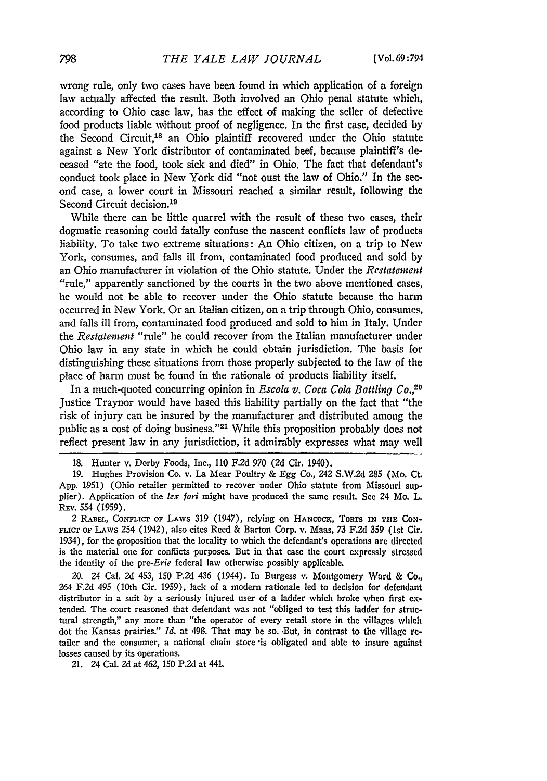wrong rule, only two cases have been found in which application **of** a foreign law actually affected the result. Both involved an Ohio penal statute which, according to Ohio case law, has the effect of making the seller of defective food products liable without proof of negligence. In the first case, decided by the Second Circuit,<sup>18</sup> an Ohio plaintiff recovered under the Ohio statute against a New York distributor of contaminated beef, because plaintiff's deceased "ate the food, took sick and died" in Ohio. The fact that defendant's conduct took place in New York did "not oust the law of Ohio." In the second case, a lower court in Missouri reached a similar result, following the Second Circuit decision.<sup>19</sup>

While there can be little quarrel with the result of these tvo cases, their dogmatic reasoning could fatally confuse the nascent conflicts law of products liability. To take two extreme situations: An Ohio citizen, on a trip to New York, consumes, and falls ill from, contaminated food produced and sold by an Ohio manufacturer in violation of the Ohio statute. Under the *Restatement* "rule," apparently sanctioned **by** the courts in the two above mentioned cases, he would not be able to recover under the Ohio statute because the harm occurred in New York. Or an Italian citizen, on a trip through Ohio, consumes, and falls ill from, contaminated food produced and sold to him in Italy. Under the *Restatement* "rule" he could recover from the Italian manufacturer under Ohio law in any state in which he could obtain jurisdiction. The basis for distinguishing these situations from those properly subjected to the law of the place of harm must be found in the rationale of products liability itself.

In a much-quoted concurring opinion in *Escola v. Coca Cola Bottling Co.,"0* Justice Traynor would have based this liability partially on the fact that "the risk of injury can be insured **by** the manufacturer and distributed among the public as a cost of doing business."<sup>21</sup> While this proposition probably does not reflect present law in any jurisdiction, it admirably expresses what may well

**18.** Hunter v. Derby Foods, Inc., 110 F.2d 970 (2d Cir. 1940).

**19.** Hughes Provision Co. v. La Mear Poultry & **Egg** Co., 242 S.W.2d 285 (Mo. Ct. App. 1951) (Ohio retailer permitted to recover under Ohio statute from Missouri supplier). Application of the *lex for* might have produced the same result. **See** 24 Mo. L. REv. 554 (1959).

2 RABEL, CONFLICT OF LAWS 319 (1947), relying on HANCOCK, TORTS IN THE CON-**FLICr OF** LAws 254 (1942), also cites Reed & Barton Corp. v. Maas, **73** F.2d 359 (1st Cir. 1934), for the proposition that the locality to which the defendant's operations are directed is the material one for conflicts purposes. But in that case the court expressly stressed the identity of the *pre-Erie* federal law otherwise possibly applicable.

20. 24 Cal. 2d 453, 150 **P.Zd** 436 (1944). In Burgess v. Montgomery Ward & **Co.,** 264 F.2d 495 (10th Cir. 1959), lack of a modern rationale led to decision for defendant distributor in a suit **by** a seriously injured user of a ladder which broke when first **ex**tended. The court reasoned that defendant was not "obliged to test this ladder for structural strength," any more than "the operator of every retail store in the villages which dot the Kansas prairies." *Id.* at 498. That may be so. But, in contrast to the village retailer and the consumer, a national chain store is obligated and able to insure against losses caused **by** its operations.

21. 24 Cal. 2d at 462, 150 P.2d at 441,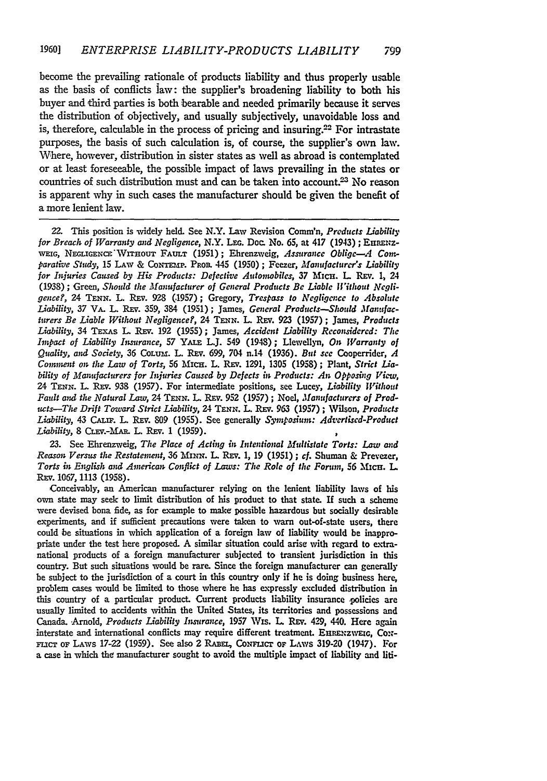become the prevailing rationale of products liability and thus properly usable as the basis of conflicts law: the supplier's broadening liability to both his buyer and third parties is both bearable and needed primarily because it serves the distribution of objectively, and usually subjectively, unavoidable loss and is, therefore, calculable in the process of pricing and insuring.2 2 For intrastate purposes, the basis of such calculation is, of course, the supplier's own law. Where, however, distribution in sister states as well as abroad is contemplated or at least foreseeable, the possible impact of laws prevailing in the states or countries of such distribution must and can be taken into account.<sup>23</sup> No reason is apparent why in such cases the manufacturer should be given the benefit of a more lenient law.

22. This position is widely held. See N.Y. Law Revision Comm'n, *Products Liability for Breach of Warranty and Negligence, N.Y. LEG. Doc. No. 65, at 417 (1943) ; EHRENZ*wEIG, NEGLIGENcEWITHOUT FAuLT **(1951);** Ehrenzweig, *Assurance Oblige-A Com*parative Study, 15 LAW & CONTEMP. PROB. 445 (1950); Feezer, *Manufacturcr's Liability for Injuries Caused by His Products: Defective Autonwbiles,* **37** Micn. **L.** REv. **1,** 24 **(1938);** Green, *Should the Manufacturer of General Products Be Liable* Without *Negligence?,* 24 **TENN.** L. REV. **928 (.1957);** Gregory, *Trespass to Negligence to Absolute Liability,* **37** VA. L. REv. 359, **384** (1951) **;** James, *General Products-Should Manufacturers Be Liable Without Negligence?,* 24 **TENN.** L. Rxv. **923 (1957) ;** James, *Products Liability,* 34 **TEXAs L. REv. 192 (1955);** James, *Accident Liability Reconsidered: The Impact of Liability Insurance, 57* YALE L.J. 549 (1948); Llewellyn, *On Warranty of Quality, and Society,* **36** CoLum. L. R1v. **699,** 704 n.14 **(1936).** *But see Cooperrider, A Comment on the Law of Torts,* **56** Mica. L. REv. 1291, 1305 **(1958);** Plant, *Strict Liability of Manufacturers for Injuries Caused by Defects in Products: An Opposing View,* 24 *TENN.* L. REV. **938 (1957).** For intermediate positions, see Lucey, *Liability IVithout Fault and the Natural Law,* **24 TFNr. L.** REv. **952** (1957) **;** Noel, *Manufacturers of Products-The Drift Toward Strict Liability,* 24 *TFNN.* L. REv. **963 (1957) ;** Wilson, *Products* Liability, 43 CALIF. L. REV. 809 (1955). See generally *Symposium: Advertised-Product Liability*, 8 CLEV.-MAR. L. REV. 1 (1959).

**23.** See Ehrenzweig, *The Place of Acting in Intentional Multistate Torts: Law and Reason Versus the Restatement,* 36 Mixx. L REv. **1, 19 (1951) ;** *cf.* Shuman & Prevezer, *Torts in English and American Conflict of Laws: The Role of the Forum, 56* Mica. L Rxv. 1067, 1113 (1958).

Conceivably, an American manufacturer relying on the lenient liability laws **of** his own state may seek to limit distribution of his product to that state. If such a scheme were devised bona fide, as for example to make possible hazardous but socially desirable experiments, and if sufficient precautions were taken to warn out-of-state users, there could be situations in which application of a foreign law of liability would be inappropriate under the test here proposed. A similar situation could arise with regard to extranational products of a foreign manufacturer subjected to transient jurisdiction in this country. But such situations would be rare. Since the foreign manufacturer can generally be subject to the jurisdiction of a court in this country only if he is doing business here, problem cases would be limited to those where he has expressly excluded distribution in this country of a particular product. Current products liability insurance policies are usually limited to accidents within the United States, its territories and possessions and Canada. Arnold, *Products Liability Insurance*, 1957 WIs. L. REv. 429, 440. Here again interstate and international conflicts may require different treatment. EHEENZWEIG, CON-FucT OF LAws **17-22 (1959).** See also 2 RABE, Coxmcr **oF** LAws **319-20** (1947). **For** a case in which the manufacturer sought to avoid the multiple impact of liability **and lit-**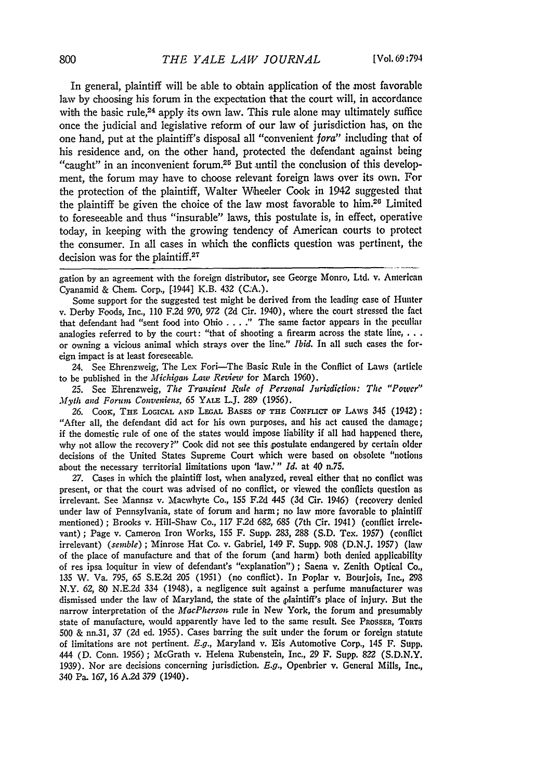In general, plaintiff will be able to obtain application of the most favorable law by choosing his forum in the expectation that the court will, in accordance with the basic rule, $^{24}$  apply its own law. This rule alone may ultimately suffice once the judicial and legislative reform of our law of jurisdiction has, on the one hand, put at the plaintiff's disposal all "convenient fora" including that of his residence and, on the other hand, protected the defendant against being "caught" in an inconvenient forum.25 But until the conclusion of this development, the forum may have to choose relevant foreign laws over its own. For the protection of the plaintiff, Walter Wheeler Cook in 1942 suggested that the plaintiff be given the choice of the law most favorable to him.<sup>20</sup> Limited to foreseeable and thus "insurable" laws, this postulate is, in effect, operative today, in keeping with the growing tendency of American courts to protect the consumer. In all cases in which the conflicts question was pertinent, the decision was for the plaintiff.<sup>27</sup>

gation by an agreement with the foreign distributor, see George Monro, Ltd. v. American Cyanamid & Chem. Corp., [1944] K.B. 432 (C.A.).

Some support for the suggested test might be derived from the leading case of Hunter v. Derby Foods, Inc., 110 F.2d 970, 972 (2d Cir. 1940), where the court stressed the fact that defendant had "sent food into Ohio . . . ." The same factor appears in the peculiar analogies referred to by the court: "that of shooting a firearm across the state line,  $\dots$ or owning a vicious animal which strays over the line." *Ibid.* In all such cases the foreign impact is at least foreseeable.

24. See Ehrenzweig, The Lex Fori-The Basic Rule in the Conflict of Laws (article to be published in the *Michigan Law Review* for March 1960).

25. See Ehrenzweig, *The Transient Ride of Personal Jurisdiction: The "Power" Myth and Forum Conveniens, 65* YALE L.J. **289** (1956).

26. Coox, **THE** LOGICAL **AND LEGAL BASES** OF **TilE** CONFLICT OF LAWS 345 (1942): "After all, the defendant did act for his own purposes, and his act caused the damage; if the domestic rule of one of the states would impose liability if all had happened there, why not allow the recovery ?" Cook did not see this postulate endangered by certain older decisions of the United States Supreme Court which were based on obsolete "notions about the necessary territorial limitations upon 'law.'" *Id.* at 40 n.75.

27. Cases in which the plaintiff lost, when analyzed, reveal either that no conflict was present, or that the court was advised of no conflict, or viewed the conflicts question as irrelevant. See Mannsz v. Macwhyte Co., 155 F.2d 445 (3d Cir. 1946) (recovery denied under law of Pennsylvania, state of forum and harm; no law more favorable to plaintiff mentioned) ; Brooks v. Hill-Shaw Co., 117 F2d 682, 685 (7th Cir. 1941) (conflict irrelevant) ; Page v. Cameron Iron Works, 155 F. Supp. 283, 288 (S.D. Tex. 1957) (conflict irrelevant) *(semble) ;* Minrose Hat Co. v. Gabriel, 149 F. Supp. 908 (D.N.J. 1957) (law of the place of manufacture and that of the forum (and harm) both denied applicability of res ipsa loquitur in view of defendant's "explanation") ; Saena v. Zenith Optical Co., **135** W. Va. 795, 65 S.E.2d 205 (1951) (no conflict). In Poplar v. Bourjois, Inc., **293** N.Y. *62,* 80 N.E.2d 334 (1948), a negligence suit against a perfume manufacturer was dismissed under the law of Maryland, the state of the plaintiff's place of injury. But the narrow interpretation of the *MacPherson.* rule in New York, the forum and presumably state of manufacture, would apparently have led to the same result. See PROSSER, TORTS 500 & nn.31, 37 (2d ed. 1955). Cases barring the suit under the forum or foreign statute of limitations are not pertinent. E.g., Maryland v. Eis Automotive Corp., 145 F. Supp. 444 (D. Conn. 1956); McGrath v. Helena Rubenstein, Inc., 29 F. Supp. *822* (S.D.N.Y. 1939). Nor are decisions concerning jurisdiction. *E.g.,* Openbrier v. General Mills, Inc,, 340 Pa. 167, 16 A.2d 379 (1940).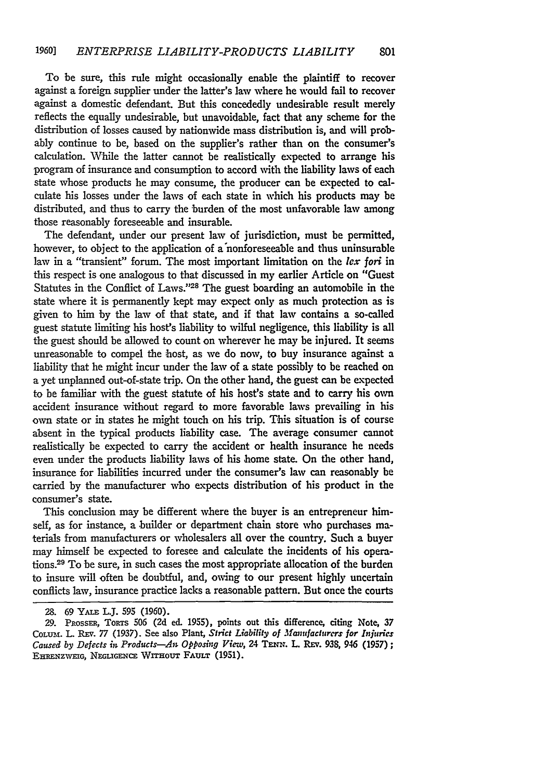To be sure, this rule might occasionally enable the plaintiff to recover against a foreign supplier under the latter's law where he would fail to recover against a domestic defendant. But this concededly undesirable result merely reflects the equally undesirable, but unavoidable, fact that any scheme for the distribution of losses caused by nationwide mass distribution is, and will probably continue to be, based on the supplier's rather than on the consumer's calculation. While the latter cannot be realistically expected to arrange his program of insurance and consumption to accord with the liability laws of each state whose products he may consume, the producer can be expected to calculate his losses under the laws of each state in which his products may be distributed, and thus to carry the burden of the most unfavorable law among those reasonably foreseeable and insurable.

The defendant, under our present law of jurisdiction, must be permitted, however, to object to the application of a'nonforeseeable and thus uninsurable law in a "transient" forum. The most important limitation on the lex fori in this respect is one analogous to that discussed in my earlier Article on "Guest Statutes in the Conflict of Laws."28 The guest boarding an automobile in the state where it is permanently kept may expect only as much protection as is given to him by the law of that state, and if that law contains a so-called guest statute limiting his host's liability to wilful negligence, this liability is all the guest should be allowed to count on wherever he may be injured. It seems unreasonable to compel the host, as we do now, to buy insurance against a liability that he might incur under the law of a state possibly to be reached on a yet unplanned out-of-state trip. On the other hand, the guest can be expected to be familiar with the guest statute of his host's state and to carry his own accident insurance without regard to more favorable laws prevailing in his own state or in states he might touch on his trip. This situation is of course absent in the typical products liability case. The average consumer cannot realistically be expected to carry the accident or health insurance he needs even under the products liability laws of his home state. On the other hand, insurance for liabilities incurred under the consumer's law can reasonably be carried by the manufacturer who expects distribution of his product in the consumer's state.

This conclusion may be different where the buyer is an entrepreneur himself, as for instance, a builder or department chain store who purchases materials from manufacturers or wholesalers all over the country. Such a buyer may himself be expected to foresee and calculate the incidents of his operations. 29 To be sure, in such cases the most appropriate allocation of the burden to insure will often be doubtful, and, owing to our present highly uncertain conflicts law, insurance practice lacks a reasonable pattern. But once the courts

**<sup>28. 69</sup> YAi.** LJ. **595 (1960).**

**<sup>29.</sup>** PRossEP, **ToRTs 506 (2d** ed. **1955),** points out this difference, citing Note, **37 CoLtni. L.** REv. *77* **(1937).** See **also Plant,** *Strict Liability of Mautfacturers for Injuries Caused by Defects in Products-An Opposing Vie'w,* **24 TENN. L.** REv. **938,** 946 **(1957);** EHRENZWEIG, NEGLIGENCE WITHOUT FAULT (1951).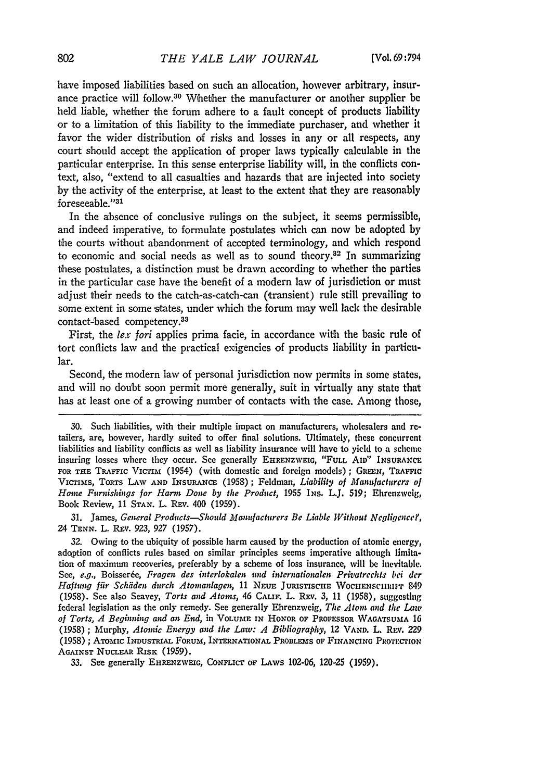have imposed liabilities based on such an allocation, however arbitrary, insurance practice will follow.80 Wihether the manufacturer or another supplier be held liable, whether the forum adhere to a fault concept of products liability or to a limitation of this liability to the immediate purchaser, and whether it favor the wider distribution of risks and losses in any or all respects, any court should accept the application of proper laws typically calculable in the particular enterprise. In this sense enterprise liability will, in the conflicts context, also, "extend to all casualties and hazards that are injected into society by the activity of the enterprise, at least to the extent that they are reasonably foreseeable."<sup>3</sup>

In the absence of conclusive rulings on the subject, it seems permissible, and indeed imperative, to formulate postulates which can now be adopted by the courts without abandonment of accepted terminology, and which respond to economic and social needs as well as to sound theory. $32$  In summarizing these postulates, a distinction must be drawn according to whether the parties in the particular case have the benefit of a modern law of jurisdiction or must adjust their needs to the catch-as-catch-can (transient) rule still prevailing to some extent in some states, under which the forum may well lack the desirable contact-based competency.<sup>33</sup>

First, the lex fori applies prima facie, in accordance with the basic rule of tort conflicts law and the practical exigencies of products liability in particular.

Second, the modern law of personal jurisdiction now permits in some states, and will no doubt soon permit more generally, suit in virtually any state that has at least one of a growing number of contacts with the case. Among those,

31. James, *General Products-Should Manufacturers Be Liable Without Neglience, 24 TENN.* L. Rav. 923, *927* (1957).

32. Owing to the ubiquity of possible harm caused by the production of atomic energy, adoption of conflicts rules based on similar principles seems imperative although limitation of maximum recoveries, preferably by a scheme of loss insurance, will be inevitable. See, *e.g.,* Boisser&e, *Fragen des interlokalen und internationalen Privatrechis* **bei** *der Haftung ffir Schiden durch Atomanlagen,* 11 **NEuE JuRisTiscHE Wocuuscuin r** 849 (1958). See also Seavey, *Torts and Ators,* 46 CALIF. L. Rav. 3, 11 (1958), suggesting federal legislation as the only remedy. See generally Ehrenzweig, *The Altom and the Laic of Torts, A Beginning and at; End,* in **VOLUME IN** HONOR **OF PROFESSOR** WAoATSUMA 16 (1958); Murphy, *Atomic Energy and the Law: A Bibliography,* 12 VAND. L. REv. **229** (1958) ; ATomic INDUSTRIAL FORUM, INTERNATIONAL PROBLEMS **OF** FINANCING PROrrCTION AGAINST **NucLEAR RISK** (1959).

**33.** See generally EHRENzWEIG, CONFLIcT **OF** LAWS 102-06, 120-25 (1959).

<sup>30.</sup> Such liabilities, with their multiple impact on manufacturers, wholesalers and retailers, are, however, hardly suited to offer final solutions. Ultimately, these concurrent liabilities and liability conflicts as well as liability insurance will have to yield to a scheme insuring losses where they occur. See generally EHRENZWEIG, "FULL AID" INSURANCE FOR THE TRAFFIC VICTIM (1954) (with domestic and foreign models); GREEN, TRAFFIC VIcTIMs, TORTS LAW **AND INSURANCE** (1958); Feldman, *Liability of Manufacturers of Home Furnishings for Harin. Done by the Product,* 1955 **INS.** L.J. **519;** Ehrenzwelg, Book Review, 11 STAN. L. REV. 400 (1959).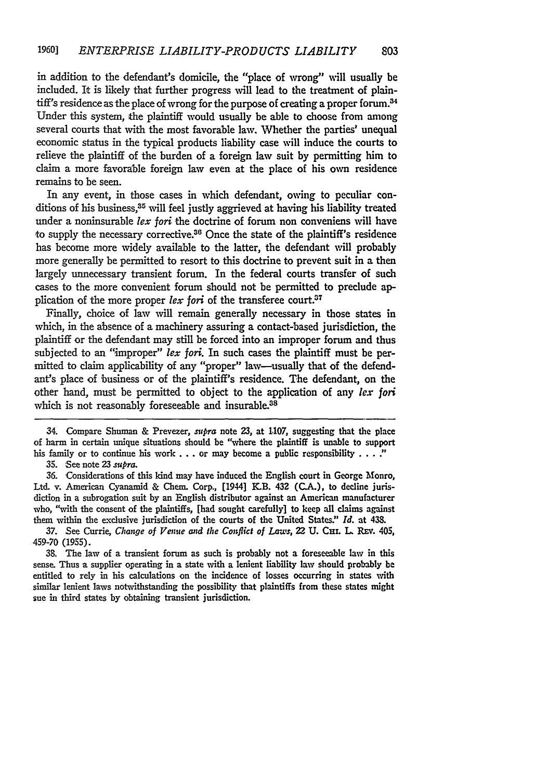in addition to the defendant's domicile, the "place of wrong" will usually be included. It is likely that further progress will lead to the treatment of plain- $\text{tfif's residence}$  as the place of wrong for the purpose of creating a proper forum.<sup>34</sup> Under this system, the plaintiff would usually be able to choose from among several courts that with the most favorable law. Whether the parties' unequal economic status in the typical products liability case will induce the courts to relieve the plaintiff of the burden of a foreign law suit by permitting him to claim a more favorable foreign law even at the place of his own residence remains to be seen.

In any event, in those cases in which defendant, owing to peculiar conditions of his business,35 will feel justly aggrieved at having his liability treated under a noninsurable *lex fori* the doctrine of forum non conveniens will have to supply the necessary corrective. 36 Once the state of the plaintiff's residence has become more widely available to the latter, the defendant will probably more generally be permitted to resort to this doctrine to prevent suit in a then largely unnecessary transient forum. In the federal courts transfer of such cases to the more convenient forum should not be permitted to preclude application of the more proper lex fori of the transferee court.<sup>37</sup>

Finally, choice of law will remain generally necessary in those states in which, in the absence of a machinery assuring a contact-based jurisdiction, the plaintiff or the defendant may still be forced into an improper forum and thus subjected to an "improper" lex fori. In such cases the plaintiff must be permitted to claim applicability of any "proper" law-usually that of the defendant's place of business or of the plaintiff's residence. The defendant, on the other hand, must be permitted to object to the application of any lex fori which is not reasonably foreseeable and insurable.<sup>38</sup>

34. Compare Shuman & Prevezer, *uipra* note **23,** at 1.107, suggesting that the place of harm in certain unique situations should be "where the plaintiff is unable to support his family or to continue his work . . . or may become a public responsibility . . . ."

**35.** See note **23** supra.

**36.** Considerations of this kind may have induced the English court in George Monro, **Ltd.** v. American Cyanamid & Chem. Corp., [1944] K.B. 432 (CA.), to decline jurisdiction in a subrogation suit by an English distributor against an American manufacturer who, "with the consent of the plaintiffs, [had sought carefully] to keep all claims against them within the exclusive jurisdiction of the courts of the United States." *Id.* at 43S.

**37.** See Currie, *Change of Venue and the Conflict of Loa's,* 22 **U. CuL L** Rv. 405, **459-70 (1955).**

**38.** The law of a transient forum as such is probably not a foreseeable law in this sense. Thus a supplier operating in a state with a lenient liability law should probably be entitled to rely in his calculations on the incidence of losses occurring in states with similar lenient laws notwithstanding the possibility that plaintiffs from these states might sue in third states **by** obtaining transient jurisdiction.